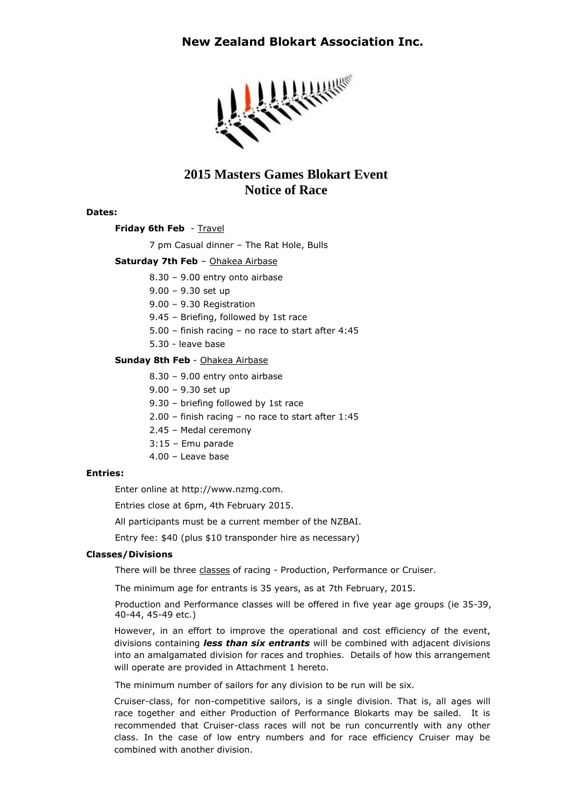## **New Zealand Blokart Association Inc.**



# **2015 Masters Games Blokart Event Notice of Race**

#### **Dates:**

**Friday 6th Feb** - Travel

7 pm Casual dinner – The Rat Hole, Bulls

### **Saturday 7th Feb** – Ohakea Airbase

8.30 – 9.00 entry onto airbase

9.00 – 9.30 set up

9.00 – 9.30 Registration

9.45 – Briefing, followed by 1st race

5.00 – finish racing – no race to start after 4:45

5.30 - leave base

### **Sunday 8th Feb** - Ohakea Airbase

- 8.30 9.00 entry onto airbase
- 9.00 9.30 set up
- 9.30 briefing followed by 1st race
- 2.00 finish racing no race to start after 1:45
- 2.45 Medal ceremony
- 3:15 Emu parade
- 4.00 Leave base

#### **Entries:**

Enter online at http://www.nzmg.com.

Entries close at 6pm, 4th February 2015.

All participants must be a current member of the NZBAI.

Entry fee: \$40 (plus \$10 transponder hire as necessary)

### **Classes/Divisions**

There will be three classes of racing - Production, Performance or Cruiser.

The minimum age for entrants is 35 years, as at 7th February, 2015.

Production and Performance classes will be offered in five year age groups (ie 35-39, 40-44, 45-49 etc.)

However, in an effort to improve the operational and cost efficiency of the event, divisions containing *less than six entrants* will be combined with adjacent divisions into an amalgamated division for races and trophies. Details of how this arrangement will operate are provided in Attachment 1 hereto.

The minimum number of sailors for any division to be run will be six.

Cruiser-class, for non-competitive sailors, is a single division. That is, all ages will race together and either Production of Performance Blokarts may be sailed. It is recommended that Cruiser-class races will not be run concurrently with any other class. In the case of low entry numbers and for race efficiency Cruiser may be combined with another division.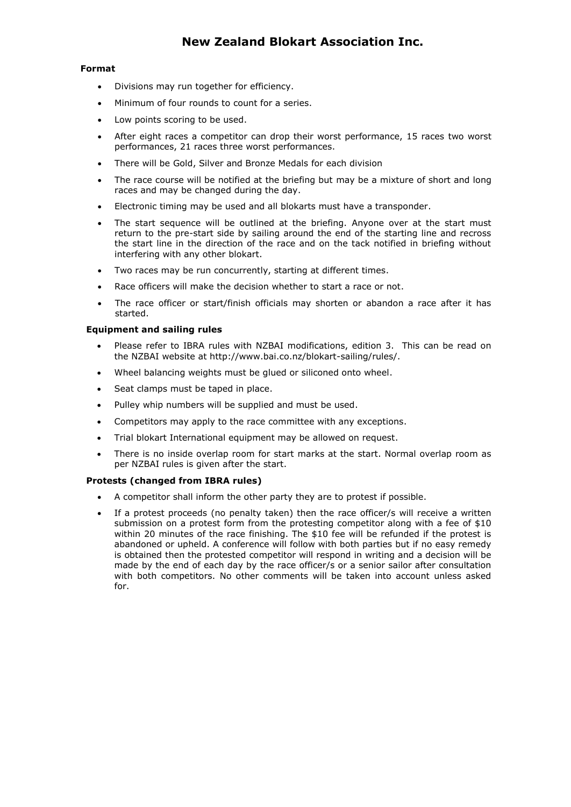# **New Zealand Blokart Association Inc.**

### **Format**

- Divisions may run together for efficiency.
- Minimum of four rounds to count for a series.
- Low points scoring to be used.
- After eight races a competitor can drop their worst performance, 15 races two worst performances, 21 races three worst performances.
- There will be Gold, Silver and Bronze Medals for each division
- The race course will be notified at the briefing but may be a mixture of short and long races and may be changed during the day.
- Electronic timing may be used and all blokarts must have a transponder.
- The start sequence will be outlined at the briefing. Anyone over at the start must return to the pre-start side by sailing around the end of the starting line and recross the start line in the direction of the race and on the tack notified in briefing without interfering with any other blokart.
- Two races may be run concurrently, starting at different times.
- Race officers will make the decision whether to start a race or not.
- The race officer or start/finish officials may shorten or abandon a race after it has started.

### **Equipment and sailing rules**

- Please refer to IBRA rules with NZBAI modifications, edition 3. This can be read on the NZBAI website at http://www.bai.co.nz/blokart-sailing/rules/.
- Wheel balancing weights must be glued or siliconed onto wheel.
- Seat clamps must be taped in place.
- Pulley whip numbers will be supplied and must be used.
- Competitors may apply to the race committee with any exceptions.
- Trial blokart International equipment may be allowed on request.
- There is no inside overlap room for start marks at the start. Normal overlap room as per NZBAI rules is given after the start.

### **Protests (changed from IBRA rules)**

- A competitor shall inform the other party they are to protest if possible.
- If a protest proceeds (no penalty taken) then the race officer/s will receive a written submission on a protest form from the protesting competitor along with a fee of \$10 within 20 minutes of the race finishing. The \$10 fee will be refunded if the protest is abandoned or upheld. A conference will follow with both parties but if no easy remedy is obtained then the protested competitor will respond in writing and a decision will be made by the end of each day by the race officer/s or a senior sailor after consultation with both competitors. No other comments will be taken into account unless asked for.